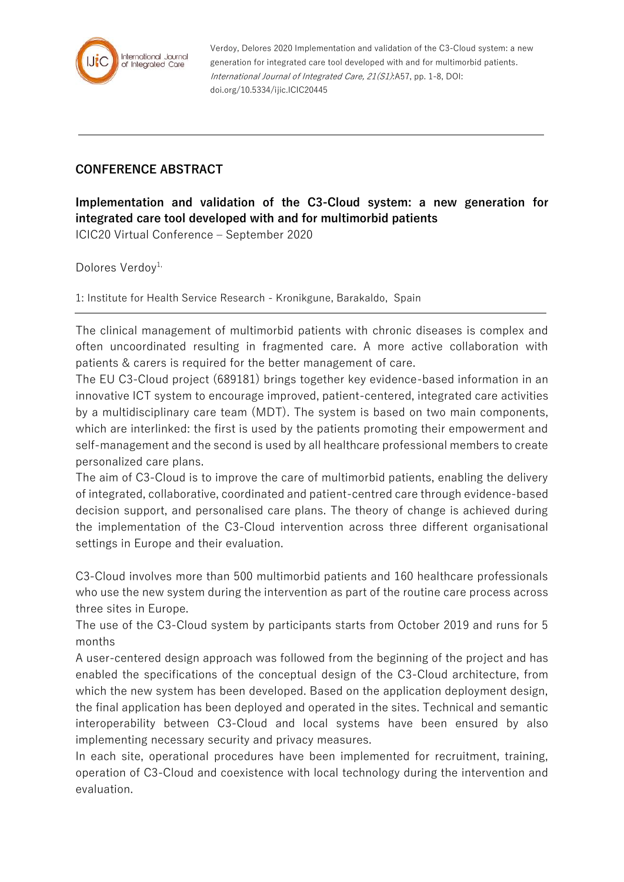

Verdoy, Delores 2020 Implementation and validation of the C3-Cloud system: a new generation for integrated care tool developed with and for multimorbid patients. International Journal of Integrated Care, 21(S1):A57, pp. 1-8, DOI: doi.org/10.5334/ijic.ICIC20445

## **CONFERENCE ABSTRACT**

**Implementation and validation of the C3-Cloud system: a new generation for integrated care tool developed with and for multimorbid patients**

ICIC20 Virtual Conference – September 2020

Dolores Verdov<sup>1,</sup>

1: Institute for Health Service Research - Kronikgune, Barakaldo, Spain

The clinical management of multimorbid patients with chronic diseases is complex and often uncoordinated resulting in fragmented care. A more active collaboration with patients & carers is required for the better management of care.

The EU C3-Cloud project (689181) brings together key evidence-based information in an innovative ICT system to encourage improved, patient-centered, integrated care activities by a multidisciplinary care team (MDT). The system is based on two main components, which are interlinked: the first is used by the patients promoting their empowerment and self-management and the second is used by all healthcare professional members to create personalized care plans.

The aim of C3-Cloud is to improve the care of multimorbid patients, enabling the delivery of integrated, collaborative, coordinated and patient-centred care through evidence-based decision support, and personalised care plans. The theory of change is achieved during the implementation of the C3-Cloud intervention across three different organisational settings in Europe and their evaluation.

C3-Cloud involves more than 500 multimorbid patients and 160 healthcare professionals who use the new system during the intervention as part of the routine care process across three sites in Europe.

The use of the C3-Cloud system by participants starts from October 2019 and runs for 5 months

A user-centered design approach was followed from the beginning of the project and has enabled the specifications of the conceptual design of the C3-Cloud architecture, from which the new system has been developed. Based on the application deployment design, the final application has been deployed and operated in the sites. Technical and semantic interoperability between C3-Cloud and local systems have been ensured by also implementing necessary security and privacy measures.

In each site, operational procedures have been implemented for recruitment, training, operation of C3-Cloud and coexistence with local technology during the intervention and evaluation.